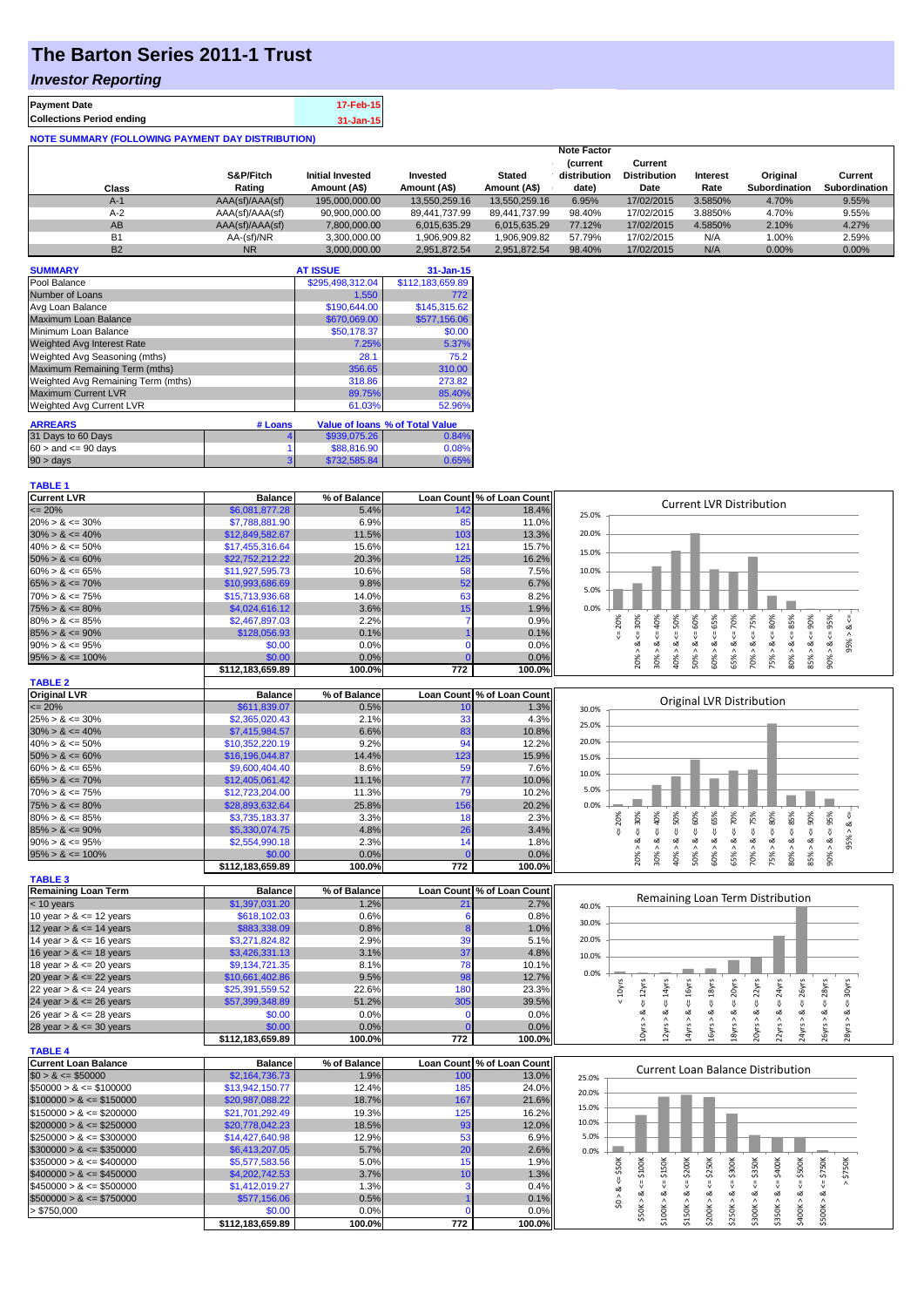## **The Barton Series 2011-1 Trust**

### *Investor Reporting*

| <b>Collections Period ending</b> | 17-Feb-15 | <b>Payment Date</b> |
|----------------------------------|-----------|---------------------|
|                                  | 31-Jan-15 |                     |

| <b>NOTE SUMMARY (FOLLOWING PAYMENT DAY DISTRIBUTION)</b> |                 |                         |               |               |                    |                     |          |                      |                      |
|----------------------------------------------------------|-----------------|-------------------------|---------------|---------------|--------------------|---------------------|----------|----------------------|----------------------|
|                                                          |                 |                         |               |               | <b>Note Factor</b> |                     |          |                      |                      |
|                                                          |                 |                         |               |               | <i>(current</i>    | Current             |          |                      |                      |
|                                                          | S&P/Fitch       | <b>Initial Invested</b> | Invested      | <b>Stated</b> | distribution       | <b>Distribution</b> | Interest | Original             | Current              |
| <b>Class</b>                                             | Rating          | Amount (A\$)            | Amount (A\$)  | Amount (A\$)  | date)              | Date                | Rate     | <b>Subordination</b> | <b>Subordination</b> |
| $A-1$                                                    | AAA(sf)/AAA(sf) | 195,000,000.00          | 13.550.259.16 | 13.550.259.16 | 6.95%              | 17/02/2015          | 3.5850%  | 4.70%                | 9.55%                |
| $A-2$                                                    | AAA(sf)/AAA(sf) | 90,900,000.00           | 89.441.737.99 | 89.441.737.99 | 98.40%             | 17/02/2015          | 3.8850%  | 4.70%                | 9.55%                |
| AB                                                       | AAA(sf)/AAA(sf) | 7,800,000.00            | 6,015,635.29  | 6,015,635.29  | 77.12%             | 17/02/2015          | 4.5850%  | 2.10%                | 4.27%                |
| <b>B1</b>                                                | AA-(sf)/NR      | 3,300,000.00            | 1,906,909.82  | 1,906,909.82  | 57.79%             | 17/02/2015          | N/A      | 1.00%                | 2.59%                |
| <b>B2</b>                                                | <b>NR</b>       | 3.000.000.00            | 2.951.872.54  | 2.951.872.54  | 98.40%             | 17/02/2015          | N/A      | 0.00%                | $0.00\%$             |

| <b>SUMMARY</b>                     |         | <b>AT ISSUE</b>  | $31 - Jan-15$                   |
|------------------------------------|---------|------------------|---------------------------------|
| Pool Balance                       |         | \$295.498.312.04 | \$112,183,659.89                |
| Number of Loans                    |         | 1.550            | 772                             |
| Avg Loan Balance                   |         | \$190,644.00     | \$145,315.62                    |
| Maximum Loan Balance               |         | \$670,069.00     | \$577.156.06                    |
| Minimum Loan Balance               |         | \$50,178.37      | \$0.00                          |
| <b>Weighted Avg Interest Rate</b>  |         | 7.25%            | 5.37%                           |
| Weighted Avg Seasoning (mths)      |         | 28.1             | 75.2                            |
| Maximum Remaining Term (mths)      |         | 356.65           | 310.00                          |
| Weighted Avg Remaining Term (mths) |         | 318.86           | 273.82                          |
| <b>Maximum Current LVR</b>         |         | 89.75%           | 85.40%                          |
| Weighted Avg Current LVR           |         | 61.03%           | 52.96%                          |
| <b>ARREARS</b>                     | # Loans |                  | Value of Ioans % of Total Value |
| 31 Days to 60 Days                 |         | \$939,075.26     | 0.84%                           |
| $60 >$ and $\leq 90$ days          |         | \$88,816.90      | 0.08%                           |
| 90 > days                          |         | \$732,585.84     | 0.65%                           |

# **TABLE 1**<br>Current LVR

| <b>Current LVR</b>          | <b>Balance</b>             | % of Balance |                   | Loan Count % of Loan Count |                                                                                                                                                                                                     |
|-----------------------------|----------------------------|--------------|-------------------|----------------------------|-----------------------------------------------------------------------------------------------------------------------------------------------------------------------------------------------------|
| $\epsilon = 20\%$           | \$6,081,877,28             | 5.4%         | 142               | 18.4%                      | <b>Current LVR Distribution</b>                                                                                                                                                                     |
| $20\% > 8 \le 30\%$         | \$7,788,881.90             | 6.9%         | 85                | 11.0%                      | 25.0%                                                                                                                                                                                               |
| $30\% > 8 \le 40\%$         | \$12,849,582.67            | 11.5%        | 103               | 13.3%                      | 20.0%                                                                                                                                                                                               |
| $40\% > 8 \le 50\%$         | \$17,455,316.64            | 15.6%        | 121               | 15.7%                      |                                                                                                                                                                                                     |
| $50\% > 8 \le 60\%$         | \$22,752,212.22            | 20.3%        | 125               | 16.2%                      | 15.0%                                                                                                                                                                                               |
| $60\% > 8 \le 65\%$         | \$11,927,595.73            | 10.6%        | 58                | 7.5%                       | 10.0%                                                                                                                                                                                               |
| $65\% > 8 \le 70\%$         | \$10,993,686.69            | 9.8%         | 52                | 6.7%                       |                                                                                                                                                                                                     |
| $70\% > 8 \le 75\%$         | \$15,713,936.68            | 14.0%        | 63                | 8.2%                       | 5.0%                                                                                                                                                                                                |
| $75\% > 8 \le 80\%$         | \$4,024,616.12             | 3.6%         | 15                | 1.9%                       | 0.0%                                                                                                                                                                                                |
| $80\% > 8 \le 85\%$         | \$2,467,897.03             | 2.2%         | 7                 | 0.9%                       | 50%<br>85%<br>20%                                                                                                                                                                                   |
| $85\% > 8 \le 90\%$         | \$128,056.93               | 0.1%         |                   | 0.1%                       | $<= 65\%$<br>$4 = 70\%$<br>$70\% > 8 <= 75\%$<br>$<=80\%$<br>$85% > 8 < = 90%$<br>$4 = 95\%$<br>$20\% > 8 <= 30\%$<br>40%<br>$<= 60\%$<br>ઌ<br>₹<br>$\frac{1}{\sqrt{2}}$<br>$\boldsymbol{\wedge}$   |
| $90\% > 8 \le 95\%$         | \$0.00                     | 0.0%         | $\Omega$          | 0.0%                       | 95%<br>ઌ<br>ಷ<br>ઌ                                                                                                                                                                                  |
| $95\% > 8 \le 100\%$        | \$0.00                     | 0.0%         |                   | 0.0%                       | 50% > 8<br>60% > 8<br>$-8 < 900$<br>30% > 8<br>75% > 8<br>65% ><br>80% ><br>$40\% >$                                                                                                                |
|                             | \$112,183,659.89           | 100.0%       | 772               | 100.0%                     |                                                                                                                                                                                                     |
| <b>TABLE 2</b>              |                            |              |                   |                            |                                                                                                                                                                                                     |
| <b>Original LVR</b>         | <b>Balance</b>             | % of Balance |                   | Loan Count % of Loan Count |                                                                                                                                                                                                     |
| $\epsilon = 20\%$           | \$611,839.07               | 0.5%         | 10                | 1.3%                       | Original LVR Distribution<br>30.0%                                                                                                                                                                  |
| $25\% > 8 \le 30\%$         | \$2,365,020.43             | 2.1%         | 33                | 4.3%                       |                                                                                                                                                                                                     |
| $30\% > 8 \le 40\%$         | \$7,415,984.57             | 6.6%         | 83                | 10.8%                      | 25.0%                                                                                                                                                                                               |
| $40\% > 8 \le 50\%$         | \$10,352,220.19            | 9.2%         | 94                | 12.2%                      | 20.0%                                                                                                                                                                                               |
| $50\% > 8 \le 60\%$         | \$16,196,044.87            | 14.4%        | 123               | 15.9%                      | 15.0%                                                                                                                                                                                               |
| $60\% > 8 \le 65\%$         | \$9,600,404.40             | 8.6%         | 59                | 7.6%                       |                                                                                                                                                                                                     |
| $65\% > 8 \le 70\%$         | \$12,405,061.42            | 11.1%        | 77                | 10.0%                      | 10.0%                                                                                                                                                                                               |
| $70\% > 8 \le 75\%$         | \$12,723,204.00            | 11.3%        | 79                | 10.2%                      | 5.0%                                                                                                                                                                                                |
| $75\% > 8 \le 80\%$         | \$28,893,632.64            | 25.8%        | 156               | 20.2%                      | 0.0%                                                                                                                                                                                                |
| $80\% > 8 \le 85\%$         | \$3,735,183.37             | 3.3%         | 18                | 2.3%                       | 50%<br>20%<br>IJ                                                                                                                                                                                    |
| $85\% > 8 \le 90\%$         | \$5,330,074.75             | 4.8%         | 26                | 3.4%                       | $70\% > 8 <= 75\%$<br>$75\% > 8 <= 80\%$<br>$85% > 8 < = 90%$<br>$4 = 30\%$<br>$50\% > 8 <= 60\%$<br>$60\% > 8 <= 65\%$<br>$4 = 70\%$<br>$\leq 85\%$<br>$90\% > 8 <= 95\%$<br>$4 - 40%$             |
| $90\% > 8 \le 95\%$         | \$2,554,990.18             | 2.3%         | 14                | 1.8%                       | 95% > 8<br>$\sqrt{ }$<br>ઌૻ<br>ઌૢ<br>ઌૢ<br>ઌ                                                                                                                                                        |
|                             |                            | 0.0%         |                   | 0.0%                       | $\frac{8}{1}$                                                                                                                                                                                       |
| $95\% > 8 \le 100\%$        | \$0.00<br>\$112,183,659.89 | 100.0%       | 772               | 100.0%                     | 30% > i<br>65% ><br>80% ><br>20%<br>40%                                                                                                                                                             |
| <b>TABLE 3</b>              |                            |              |                   |                            |                                                                                                                                                                                                     |
| <b>Remaining Loan Term</b>  | <b>Balance</b>             | % of Balance |                   | Loan Count % of Loan Count |                                                                                                                                                                                                     |
| $<$ 10 years                | \$1,397,031.20             | 1.2%         | 21                | 2.7%                       | Remaining Loan Term Distribution                                                                                                                                                                    |
| 10 year $> 8 \le 12$ years  | \$618,102.03               | 0.6%         | -6                | 0.8%                       | 40.0%                                                                                                                                                                                               |
| 12 year $> 8 \le 14$ years  | \$883,338.09               | 0.8%         |                   | 1.0%                       | 30.0%                                                                                                                                                                                               |
| 14 year $> 8 \le 16$ years  | \$3,271,824.82             | 2.9%         | 39                | 5.1%                       | 20.0%                                                                                                                                                                                               |
| 16 year $> 8 \le 18$ years  | \$3,426,331.13             | 3.1%         | 37                | 4.8%                       |                                                                                                                                                                                                     |
| 18 year $> 8 \le 20$ years  | \$9,134,721.35             | 8.1%         | 78                | 10.1%                      | 10.0%                                                                                                                                                                                               |
| 20 year $> 8 \le 22$ years  | \$10,661,402.86            | 9.5%         | 98                | 12.7%                      | 0.0%                                                                                                                                                                                                |
| 22 year $> 8 \le 24$ years  | \$25,391,559.52            | 22.6%        | 180               | 23.3%                      | < 10yrs<br>$\le$ = 16 $yrs$<br>20yrs<br>$22$ yrs<br>24yrs                                                                                                                                           |
| 24 year $> 8 \le 26$ years  | \$57,399,348.89            | 51.2%        | 305               | 39.5%                      | $\le$ = 18 $yrs$<br>$\epsilon$ = 26yrs<br>$\epsilon$ = 12 $\gamma$ rs<br>$\le$ = 14 $\gamma$ rs<br>$\epsilon$ = 28 $\gamma$ rs<br>$\epsilon$ = 30 $\gamma$ rs<br>$\frac{1}{\sqrt{2}}$<br>$\sqrt{ }$ |
| 26 year $> 8 \le 28$ years  | \$0.00                     | 0.0%         |                   | 0.0%                       | ઌ<br>ઌૢ<br>ಷ<br>ઌ<br>ઌ<br>ઌ<br>ઌ<br>ಷ                                                                                                                                                               |
| 28 year $> 8 \le 30$ years  | \$0.00                     | 0.0%         |                   | 0.0%                       |                                                                                                                                                                                                     |
|                             | \$112,183,659.89           | 100.0%       | 772               | 100.0%                     | 10yrs > 8<br>12yrs > 8<br>14yrs > 8<br>16yrs > 8<br>18yrs > 8<br>24yrs ><br>26yrs > b<br>20yrs<br>22yrs ><br>28yrs                                                                                  |
| <b>TABLE 4</b>              |                            |              |                   |                            |                                                                                                                                                                                                     |
| <b>Current Loan Balance</b> | <b>Balance</b>             | % of Balance | <b>Loan Count</b> | % of Loan Count            |                                                                                                                                                                                                     |
| $$0 > 8 \leq $50000$        | \$2,164,736.73             | 1.9%         | 10 <sub>C</sub>   | 13.0%                      | <b>Current Loan Balance Distribution</b><br>25.0%                                                                                                                                                   |
| $$50000 > 8 \le $100000$    | \$13,942,150.77            | 12.4%        | 185               | 24.0%                      |                                                                                                                                                                                                     |
| $$100000 > 8 \leq $150000$  | \$20,987,088.22            | 18.7%        | 167               | 21.6%                      | 20.0%                                                                                                                                                                                               |
| $$150000 > 8 \leq $200000$  | \$21,701,292.49            | 19.3%        | 125               | 16.2%                      | 15.0%                                                                                                                                                                                               |
| $$200000 > 8 \leq $250000$  | \$20,778,042.23            | 18.5%        | 93                | 12.0%                      | 10.0%                                                                                                                                                                                               |
| $$250000 > 8 \leq $300000$  | \$14,427,640.98            | 12.9%        | 53                | 6.9%                       | 5.0%                                                                                                                                                                                                |
| $$300000 > 8 \leq $350000$  | \$6,413,207.05             | 5.7%         | 20                | 2.6%                       | 0.0%                                                                                                                                                                                                |
| $$350000 > 8 \leq $400000$  | \$5,577,583.56             | 5.0%         | 15                | 1.9%                       |                                                                                                                                                                                                     |
| $$400000 > 8 <= $450000$    | \$4,202,742.53             | 3.7%         | 10                | 1.3%                       | $4 = $400K$<br>$4 = $500K$<br>\$200K<br>\$250K<br>\$300K<br>$4 = $350K$<br>$4 = $750K$<br>$4 = $100K$<br>\$150K<br>\$750K<br>$4 = $50K$                                                             |
| $$450000 > 8 \leq $500000$  | \$1,412,019.27             | 1.3%         | з                 | 0.4%                       |                                                                                                                                                                                                     |
| $$500000 > 8 \leq $750000$  | \$577,156.06               | 0.5%         |                   | 0.1%                       | \$0 > 8                                                                                                                                                                                             |
| > \$750,000                 | \$0.00                     | 0.0%         |                   | 0.0%                       | \$50K > 8<br>\$350K > 8<br>\$400K > 8<br>\$500K > 8<br>\$100K > 8<br>\$150K > 8<br>\$200K > 8<br>\$250K > 8<br>\$300K > 8                                                                           |
|                             | \$112,183,659.89           | 100.0%       | 772               | 100.0%                     |                                                                                                                                                                                                     |
|                             |                            |              |                   |                            |                                                                                                                                                                                                     |